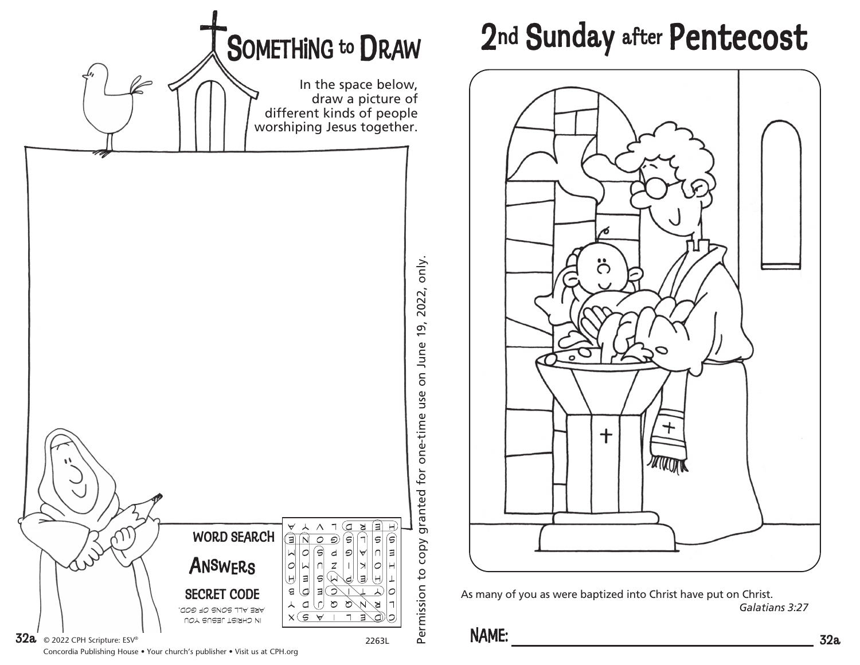

## 2nd Sunday after Pentecost



As many of you as were baptized into Christ have put on Christ. *Galatians 3:27*